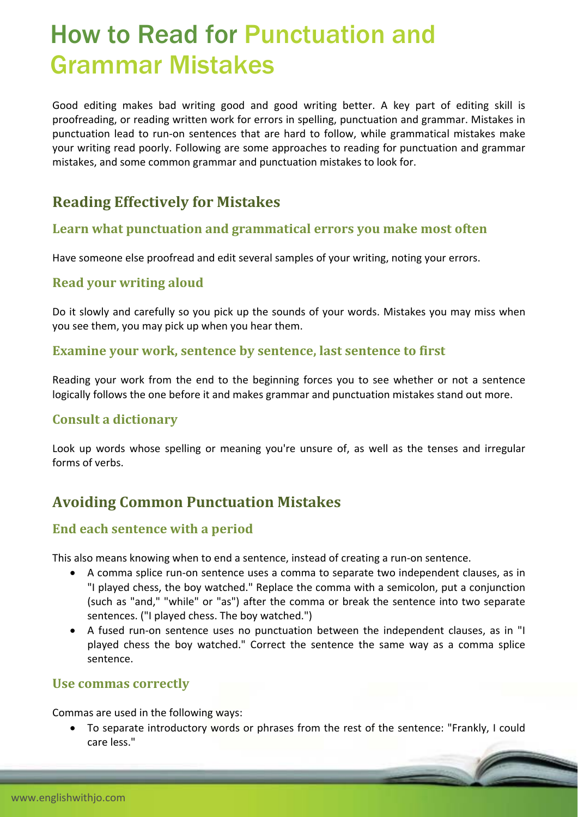# How to Read for Punctuation and Grammar Mistakes

Good editing makes bad writing good and good writing better. A key part of editing skill is proofreading, or reading written work for errors in spelling, punctuation and grammar. Mistakes in punctuation lead to run‐on sentences that are hard to follow, while grammatical mistakes make your writing read poorly. Following are some approaches to reading for punctuation and grammar mistakes, and some common grammar and punctuation mistakes to look for.

# **Reading Effectively for Mistakes**

#### **Learn what punctuation and grammatical errors you make most often**

Have someone else proofread and edit several samples of your writing, noting your errors.

#### **Read your writing aloud**

Do it slowly and carefully so you pick up the sounds of your words. Mistakes you may miss when you see them, you may pick up when you hear them.

#### **Examine your work, sentence by sentence, last sentence to first**

Reading your work from the end to the beginning forces you to see whether or not a sentence logically follows the one before it and makes grammar and punctuation mistakes stand out more.

#### **Consult a dictionary**

Look up words whose spelling or meaning you're unsure of, as well as the tenses and irregular forms of verbs.

## **Avoiding Common Punctuation Mistakes**

#### **End each sentence with a period**

This also means knowing when to end a sentence, instead of creating a run‐on sentence.

- A comma splice run-on sentence uses a comma to separate two independent clauses, as in "I played chess, the boy watched." Replace the comma with a semicolon, put a conjunction (such as "and," "while" or "as") after the comma or break the sentence into two separate sentences. ("I played chess. The boy watched.")
- A fused run‐on sentence uses no punctuation between the independent clauses, as in "I played chess the boy watched." Correct the sentence the same way as a comma splice sentence.

#### **Use commas correctly**

Commas are used in the following ways:

 To separate introductory words or phrases from the rest of the sentence: "Frankly, I could care less."